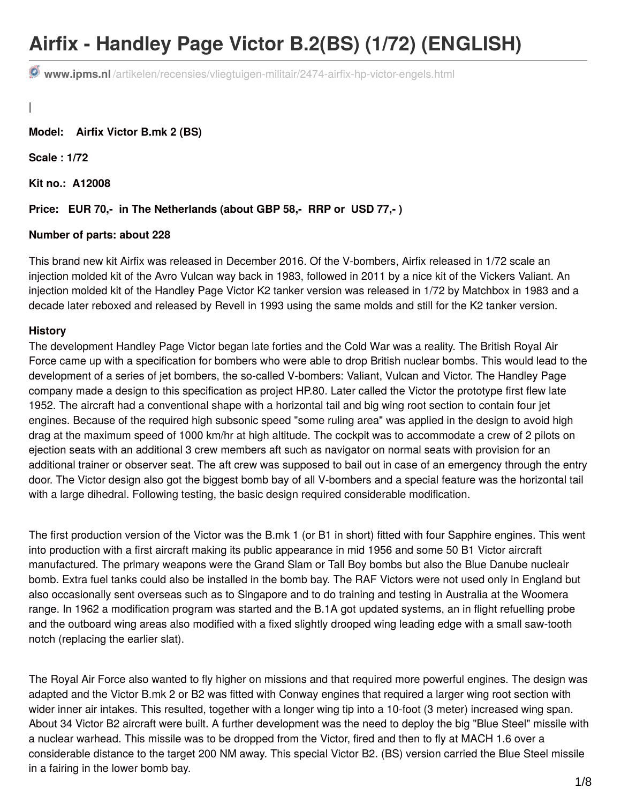# **Airfix - Handley Page Victor B.2(BS) (1/72) (ENGLISH)**

**www.ipms.nl** [/artikelen/recensies/vliegtuigen-militair/2474-airfix-hp-victor-engels.html](http://www.ipms.nl/artikelen/recensies/vliegtuigen-militair/2474-airfix-hp-victor-engels.html)

|

**Model: Airfix Victor B.mk 2 (BS)**

**Scale : 1/72**

**Kit no.: A12008**

#### **Price: EUR 70,- in The Netherlands (about GBP 58,- RRP or USD 77,- )**

#### **Number of parts: about 228**

This brand new kit Airfix was released in December 2016. Of the V-bombers, Airfix released in 1/72 scale an injection molded kit of the Avro Vulcan way back in 1983, followed in 2011 by a nice kit of the Vickers Valiant. An injection molded kit of the Handley Page Victor K2 tanker version was released in 1/72 by Matchbox in 1983 and a decade later reboxed and released by Revell in 1993 using the same molds and still for the K2 tanker version.

## **History**

The development Handley Page Victor began late forties and the Cold War was a reality. The British Royal Air Force came up with a specification for bombers who were able to drop British nuclear bombs. This would lead to the development of a series of jet bombers, the so-called V-bombers: Valiant, Vulcan and Victor. The Handley Page company made a design to this specification as project HP.80. Later called the Victor the prototype first flew late 1952. The aircraft had a conventional shape with a horizontal tail and big wing root section to contain four jet engines. Because of the required high subsonic speed "some ruling area" was applied in the design to avoid high drag at the maximum speed of 1000 km/hr at high altitude. The cockpit was to accommodate a crew of 2 pilots on ejection seats with an additional 3 crew members aft such as navigator on normal seats with provision for an additional trainer or observer seat. The aft crew was supposed to bail out in case of an emergency through the entry door. The Victor design also got the biggest bomb bay of all V-bombers and a special feature was the horizontal tail with a large dihedral. Following testing, the basic design required considerable modification.

The first production version of the Victor was the B.mk 1 (or B1 in short) fitted with four Sapphire engines. This went into production with a first aircraft making its public appearance in mid 1956 and some 50 B1 Victor aircraft manufactured. The primary weapons were the Grand Slam or Tall Boy bombs but also the Blue Danube nucleair bomb. Extra fuel tanks could also be installed in the bomb bay. The RAF Victors were not used only in England but also occasionally sent overseas such as to Singapore and to do training and testing in Australia at the Woomera range. In 1962 a modification program was started and the B.1A got updated systems, an in flight refuelling probe and the outboard wing areas also modified with a fixed slightly drooped wing leading edge with a small saw-tooth notch (replacing the earlier slat).

The Royal Air Force also wanted to fly higher on missions and that required more powerful engines. The design was adapted and the Victor B.mk 2 or B2 was fitted with Conway engines that required a larger wing root section with wider inner air intakes. This resulted, together with a longer wing tip into a 10-foot (3 meter) increased wing span. About 34 Victor B2 aircraft were built. A further development was the need to deploy the big "Blue Steel" missile with a nuclear warhead. This missile was to be dropped from the Victor, fired and then to fly at MACH 1.6 over a considerable distance to the target 200 NM away. This special Victor B2. (BS) version carried the Blue Steel missile in a fairing in the lower bomb bay.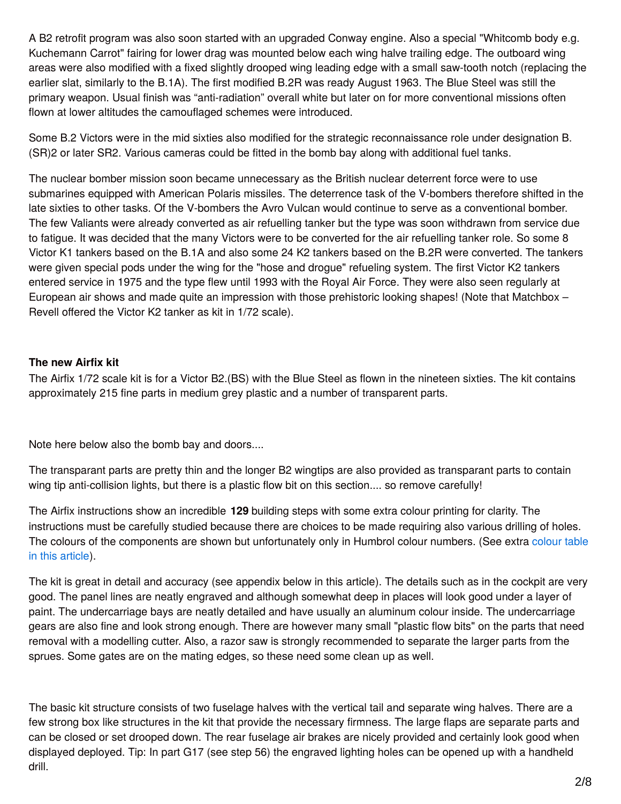A B2 retrofit program was also soon started with an upgraded Conway engine. Also a special "Whitcomb body e.g. Kuchemann Carrot" fairing for lower drag was mounted below each wing halve trailing edge. The outboard wing areas were also modified with a fixed slightly drooped wing leading edge with a small saw-tooth notch (replacing the earlier slat, similarly to the B.1A). The first modified B.2R was ready August 1963. The Blue Steel was still the primary weapon. Usual finish was "anti-radiation" overall white but later on for more conventional missions often flown at lower altitudes the camouflaged schemes were introduced.

Some B.2 Victors were in the mid sixties also modified for the strategic reconnaissance role under designation B. (SR)2 or later SR2. Various cameras could be fitted in the bomb bay along with additional fuel tanks.

The nuclear bomber mission soon became unnecessary as the British nuclear deterrent force were to use submarines equipped with American Polaris missiles. The deterrence task of the V-bombers therefore shifted in the late sixties to other tasks. Of the V-bombers the Avro Vulcan would continue to serve as a conventional bomber. The few Valiants were already converted as air refuelling tanker but the type was soon withdrawn from service due to fatigue. It was decided that the many Victors were to be converted for the air refuelling tanker role. So some 8 Victor K1 tankers based on the B.1A and also some 24 K2 tankers based on the B.2R were converted. The tankers were given special pods under the wing for the "hose and drogue" refueling system. The first Victor K2 tankers entered service in 1975 and the type flew until 1993 with the Royal Air Force. They were also seen regularly at European air shows and made quite an impression with those prehistoric looking shapes! (Note that Matchbox – Revell offered the Victor K2 tanker as kit in 1/72 scale).

## **The new Airfix kit**

The Airfix 1/72 scale kit is for a Victor B2.(BS) with the Blue Steel as flown in the nineteen sixties. The kit contains approximately 215 fine parts in medium grey plastic and a number of transparent parts.

Note here below also the bomb bay and doors....

The transparant parts are pretty thin and the longer B2 wingtips are also provided as transparant parts to contain wing tip anti-collision lights, but there is a plastic flow bit on this section.... so remove carefully!

The Airfix instructions show an incredible **129** building steps with some extra colour printing for clarity. The instructions must be carefully studied because there are choices to be made requiring also various drilling of holes. The colours of the components are shown but [unfortunately](http://www.ipms.nl/artikelen/recensies/vliegtuigen-militair/2474-airfix-hp-victor-engels.html#colours) only in Humbrol colour numbers. (See extra colour table in this article).

The kit is great in detail and accuracy (see appendix below in this article). The details such as in the cockpit are very good. The panel lines are neatly engraved and although somewhat deep in places will look good under a layer of paint. The undercarriage bays are neatly detailed and have usually an aluminum colour inside. The undercarriage gears are also fine and look strong enough. There are however many small "plastic flow bits" on the parts that need removal with a modelling cutter. Also, a razor saw is strongly recommended to separate the larger parts from the sprues. Some gates are on the mating edges, so these need some clean up as well.

The basic kit structure consists of two fuselage halves with the vertical tail and separate wing halves. There are a few strong box like structures in the kit that provide the necessary firmness. The large flaps are separate parts and can be closed or set drooped down. The rear fuselage air brakes are nicely provided and certainly look good when displayed deployed. Tip: In part G17 (see step 56) the engraved lighting holes can be opened up with a handheld drill.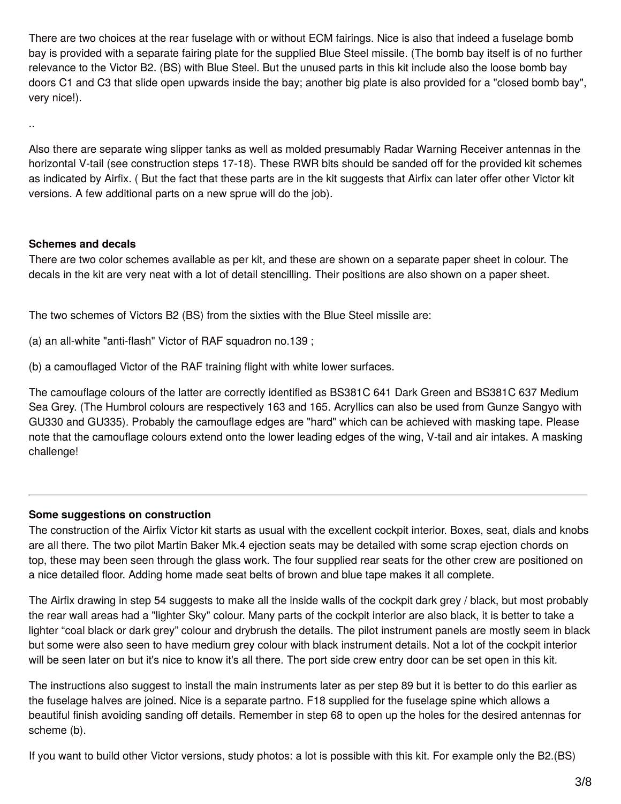There are two choices at the rear fuselage with or without ECM fairings. Nice is also that indeed a fuselage bomb bay is provided with a separate fairing plate for the supplied Blue Steel missile. (The bomb bay itself is of no further relevance to the Victor B2. (BS) with Blue Steel. But the unused parts in this kit include also the loose bomb bay doors C1 and C3 that slide open upwards inside the bay; another big plate is also provided for a "closed bomb bay", very nice!).

Also there are separate wing slipper tanks as well as molded presumably Radar Warning Receiver antennas in the horizontal V-tail (see construction steps 17-18). These RWR bits should be sanded off for the provided kit schemes as indicated by Airfix. ( But the fact that these parts are in the kit suggests that Airfix can later offer other Victor kit versions. A few additional parts on a new sprue will do the job).

## **Schemes and decals**

..

There are two color schemes available as per kit, and these are shown on a separate paper sheet in colour. The decals in the kit are very neat with a lot of detail stencilling. Their positions are also shown on a paper sheet.

The two schemes of Victors B2 (BS) from the sixties with the Blue Steel missile are:

(a) an all-white "anti-flash" Victor of RAF squadron no.139 ;

(b) a camouflaged Victor of the RAF training flight with white lower surfaces.

The camouflage colours of the latter are correctly identified as BS381C 641 Dark Green and BS381C 637 Medium Sea Grey. (The Humbrol colours are respectively 163 and 165. Acryllics can also be used from Gunze Sangyo with GU330 and GU335). Probably the camouflage edges are "hard" which can be achieved with masking tape. Please note that the camouflage colours extend onto the lower leading edges of the wing, V-tail and air intakes. A masking challenge!

## **Some suggestions on construction**

The construction of the Airfix Victor kit starts as usual with the excellent cockpit interior. Boxes, seat, dials and knobs are all there. The two pilot Martin Baker Mk.4 ejection seats may be detailed with some scrap ejection chords on top, these may been seen through the glass work. The four supplied rear seats for the other crew are positioned on a nice detailed floor. Adding home made seat belts of brown and blue tape makes it all complete.

The Airfix drawing in step 54 suggests to make all the inside walls of the cockpit dark grey / black, but most probably the rear wall areas had a "lighter Sky" colour. Many parts of the cockpit interior are also black, it is better to take a lighter "coal black or dark grey" colour and drybrush the details. The pilot instrument panels are mostly seem in black but some were also seen to have medium grey colour with black instrument details. Not a lot of the cockpit interior will be seen later on but it's nice to know it's all there. The port side crew entry door can be set open in this kit.

The instructions also suggest to install the main instruments later as per step 89 but it is better to do this earlier as the fuselage halves are joined. Nice is a separate partno. F18 supplied for the fuselage spine which allows a beautiful finish avoiding sanding off details. Remember in step 68 to open up the holes for the desired antennas for scheme (b).

If you want to build other Victor versions, study photos: a lot is possible with this kit. For example only the B2.(BS)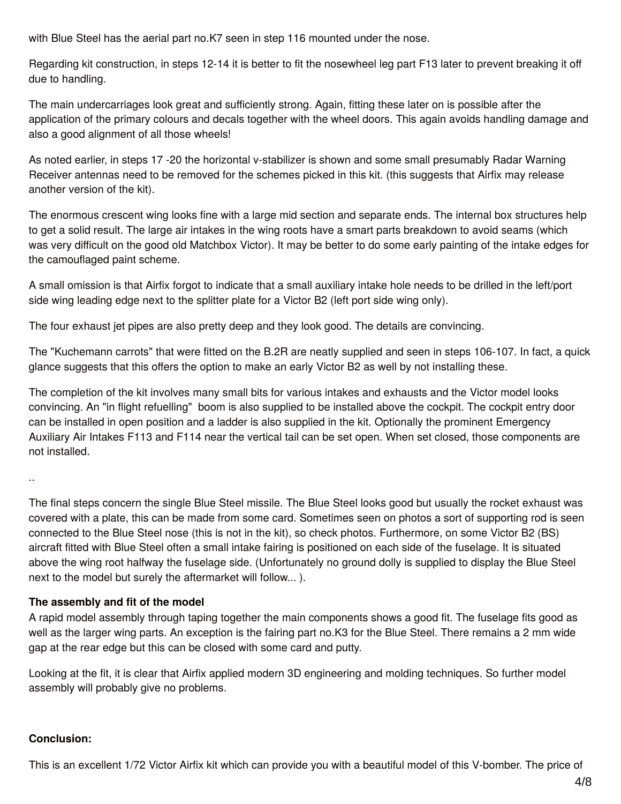with Blue Steel has the aerial part no.K7 seen in step 116 mounted under the nose.

Regarding kit construction, in steps 12-14 it is better to fit the nosewheel leg part F13 later to prevent breaking it off due to handling.

The main undercarriages look great and sufficiently strong. Again, fitting these later on is possible after the application of the primary colours and decals together with the wheel doors. This again avoids handling damage and also a good alignment of all those wheels!

As noted earlier, in steps 17 -20 the horizontal v-stabilizer is shown and some small presumably Radar Warning Receiver antennas need to be removed for the schemes picked in this kit. (this suggests that Airfix may release another version of the kit).

The enormous crescent wing looks fine with a large mid section and separate ends. The internal box structures help to get a solid result. The large air intakes in the wing roots have a smart parts breakdown to avoid seams (which was very difficult on the good old Matchbox Victor). It may be better to do some early painting of the intake edges for the camouflaged paint scheme.

A small omission is that Airfix forgot to indicate that a small auxiliary intake hole needs to be drilled in the left/port side wing leading edge next to the splitter plate for a Victor B2 (left port side wing only).

The four exhaust jet pipes are also pretty deep and they look good. The details are convincing.

The "Kuchemann carrots" that were fitted on the B.2R are neatly supplied and seen in steps 106-107. In fact, a quick glance suggests that this offers the option to make an early Victor B2 as well by not installing these.

The completion of the kit involves many small bits for various intakes and exhausts and the Victor model looks convincing. An "in flight refuelling" boom is also supplied to be installed above the cockpit. The cockpit entry door can be installed in open position and a ladder is also supplied in the kit. Optionally the prominent Emergency Auxiliary Air Intakes F113 and F114 near the vertical tail can be set open. When set closed, those components are not installed.

..

The final steps concern the single Blue Steel missile. The Blue Steel looks good but usually the rocket exhaust was covered with a plate, this can be made from some card. Sometimes seen on photos a sort of supporting rod is seen connected to the Blue Steel nose (this is not in the kit), so check photos. Furthermore, on some Victor B2 (BS) aircraft fitted with Blue Steel often a small intake fairing is positioned on each side of the fuselage. It is situated above the wing root halfway the fuselage side. (Unfortunately no ground dolly is supplied to display the Blue Steel next to the model but surely the aftermarket will follow... ).

## **The assembly and fit of the model**

A rapid model assembly through taping together the main components shows a good fit. The fuselage fits good as well as the larger wing parts. An exception is the fairing part no.K3 for the Blue Steel. There remains a 2 mm wide gap at the rear edge but this can be closed with some card and putty.

Looking at the fit, it is clear that Airfix applied modern 3D engineering and molding techniques. So further model assembly will probably give no problems.

## **Conclusion:**

This is an excellent 1/72 Victor Airfix kit which can provide you with a beautiful model of this V-bomber. The price of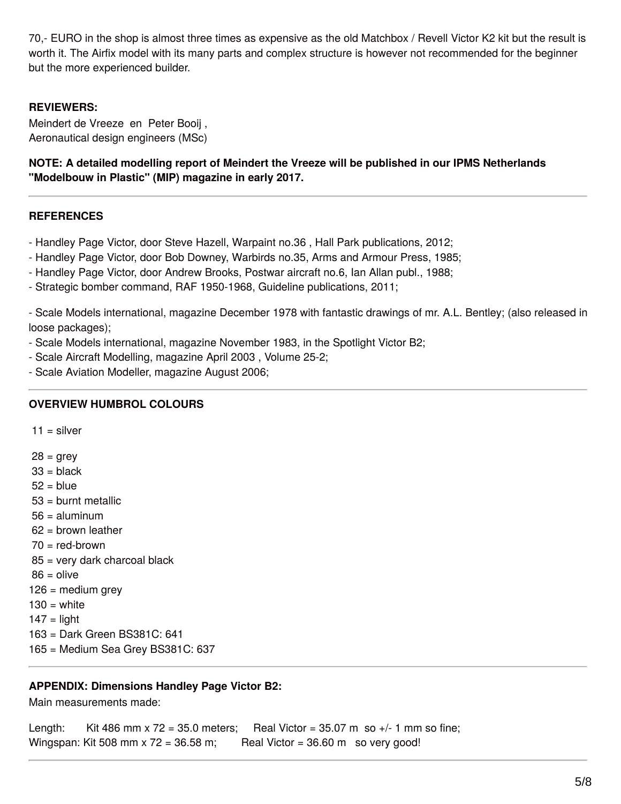70,- EURO in the shop is almost three times as expensive as the old Matchbox / Revell Victor K2 kit but the result is worth it. The Airfix model with its many parts and complex structure is however not recommended for the beginner but the more experienced builder.

## **REVIEWERS:**

Meindert de Vreeze en Peter Booij , Aeronautical design engineers (MSc)

**NOTE: A detailed modelling report of Meindert the Vreeze will be published in our IPMS Netherlands "Modelbouw in Plastic" (MIP) magazine in early 2017.**

#### **REFERENCES**

- Handley Page Victor, door Steve Hazell, Warpaint no.36 , Hall Park publications, 2012;
- Handley Page Victor, door Bob Downey, Warbirds no.35, Arms and Armour Press, 1985;
- Handley Page Victor, door Andrew Brooks, Postwar aircraft no.6, Ian Allan publ., 1988;
- Strategic bomber command, RAF 1950-1968, Guideline publications, 2011;

- Scale Models international, magazine December 1978 with fantastic drawings of mr. A.L. Bentley; (also released in loose packages);

- Scale Models international, magazine November 1983, in the Spotlight Victor B2;
- Scale Aircraft Modelling, magazine April 2003 , Volume 25-2;
- Scale Aviation Modeller, magazine August 2006;

#### **OVERVIEW HUMBROL COLOURS**

 $11 =$  silver

- $28 =$  grey  $33 =$ hlack
- $52 = 5$ lue
- 53 = burnt metallic
- $56 =$ aluminum
- 62 = brown leather
- $70 =$  red-brown
- 85 = very dark charcoal black
- $86 =$  olive
- $126$  = medium grey
- $130 =$  white
- $147 =$  light
- 163 = Dark Green BS381C: 641
- 165 = Medium Sea Grey BS381C: 637

#### **APPENDIX: Dimensions Handley Page Victor B2:**

Main measurements made:

Length: Kit 486 mm x 72 = 35.0 meters; Real Victor =  $35.07$  m so  $+/-1$  mm so fine; Wingspan: Kit 508 mm x 72 = 36.58 m; Real Victor = 36.60 m so very good!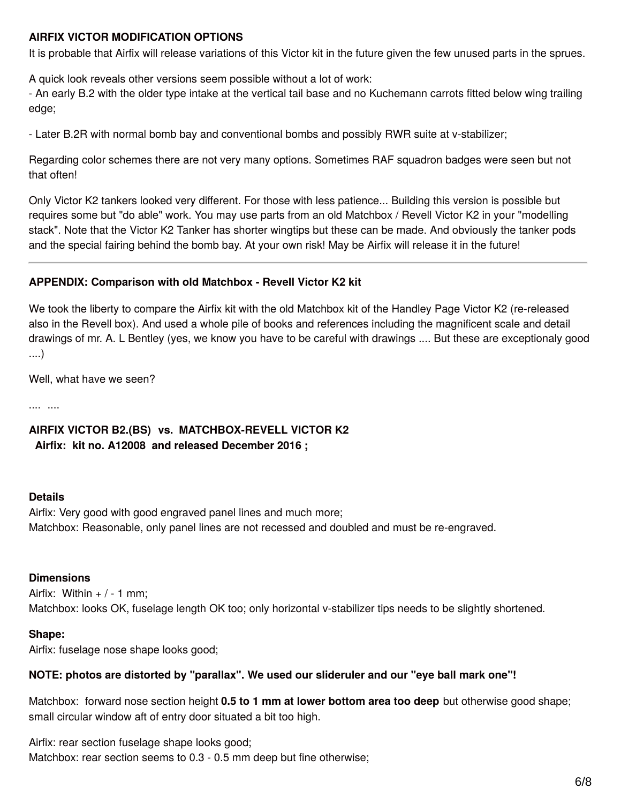## **AIRFIX VICTOR MODIFICATION OPTIONS**

It is probable that Airfix will release variations of this Victor kit in the future given the few unused parts in the sprues.

A quick look reveals other versions seem possible without a lot of work:

- An early B.2 with the older type intake at the vertical tail base and no Kuchemann carrots fitted below wing trailing edge;

- Later B.2R with normal bomb bay and conventional bombs and possibly RWR suite at v-stabilizer;

Regarding color schemes there are not very many options. Sometimes RAF squadron badges were seen but not that often!

Only Victor K2 tankers looked very different. For those with less patience... Building this version is possible but requires some but "do able" work. You may use parts from an old Matchbox / Revell Victor K2 in your "modelling stack". Note that the Victor K2 Tanker has shorter wingtips but these can be made. And obviously the tanker pods and the special fairing behind the bomb bay. At your own risk! May be Airfix will release it in the future!

## **APPENDIX: Comparison with old Matchbox - Revell Victor K2 kit**

We took the liberty to compare the Airfix kit with the old Matchbox kit of the Handley Page Victor K2 (re-released also in the Revell box). And used a whole pile of books and references including the magnificent scale and detail drawings of mr. A. L Bentley (yes, we know you have to be careful with drawings .... But these are exceptionaly good ....)

Well, what have we seen?

.... ....

## **AIRFIX VICTOR B2.(BS) vs. MATCHBOX-REVELL VICTOR K2 Airfix: kit no. A12008 and released December 2016 ;**

#### **Details**

Airfix: Very good with good engraved panel lines and much more; Matchbox: Reasonable, only panel lines are not recessed and doubled and must be re-engraved.

#### **Dimensions**

Airfix: Within  $+$  / - 1 mm; Matchbox: looks OK, fuselage length OK too; only horizontal v-stabilizer tips needs to be slightly shortened.

#### **Shape:**

Airfix: fuselage nose shape looks good;

#### **NOTE: photos are distorted by "parallax". We used our slideruler and our "eye ball mark one"!**

Matchbox: forward nose section height **0.5 to 1 mm at lower bottom area too deep** but otherwise good shape; small circular window aft of entry door situated a bit too high.

Airfix: rear section fuselage shape looks good; Matchbox: rear section seems to 0.3 - 0.5 mm deep but fine otherwise;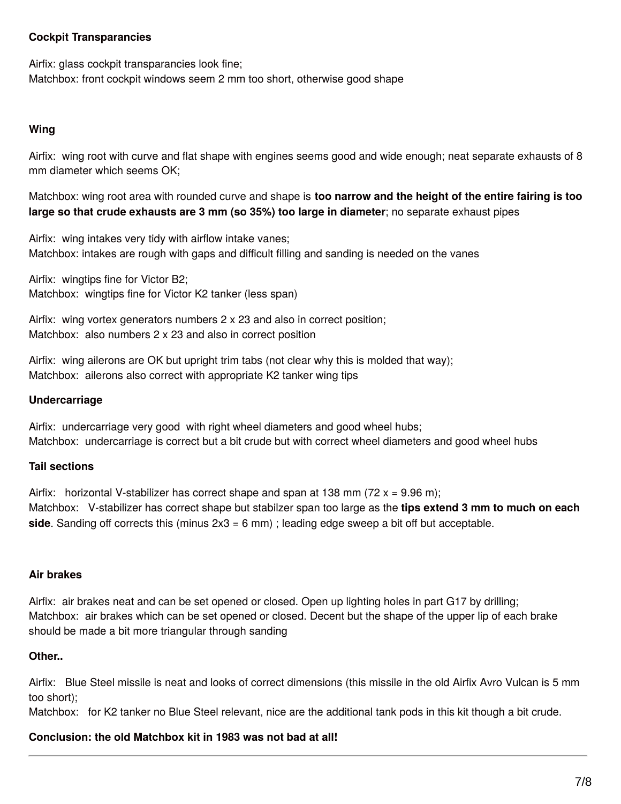## **Cockpit Transparancies**

Airfix: glass cockpit transparancies look fine;

Matchbox: front cockpit windows seem 2 mm too short, otherwise good shape

## **Wing**

Airfix: wing root with curve and flat shape with engines seems good and wide enough; neat separate exhausts of 8 mm diameter which seems OK;

Matchbox: wing root area with rounded curve and shape is **too narrow and the height of the entire fairing is too large so that crude exhausts are 3 mm (so 35%) too large in diameter**; no separate exhaust pipes

Airfix: wing intakes very tidy with airflow intake vanes; Matchbox: intakes are rough with gaps and difficult filling and sanding is needed on the vanes

Airfix: wingtips fine for Victor B2; Matchbox: wingtips fine for Victor K2 tanker (less span)

Airfix: wing vortex generators numbers 2 x 23 and also in correct position; Matchbox: also numbers 2 x 23 and also in correct position

Airfix: wing ailerons are OK but upright trim tabs (not clear why this is molded that way); Matchbox: ailerons also correct with appropriate K2 tanker wing tips

## **Undercarriage**

Airfix: undercarriage very good with right wheel diameters and good wheel hubs; Matchbox: undercarriage is correct but a bit crude but with correct wheel diameters and good wheel hubs

# **Tail sections**

Airfix: horizontal V-stabilizer has correct shape and span at 138 mm (72  $x = 9.96$  m); Matchbox: V-stabilizer has correct shape but stabilzer span too large as the **tips extend 3 mm to much on each side**. Sanding off corrects this (minus 2x3 = 6 mm) ; leading edge sweep a bit off but acceptable.

## **Air brakes**

Airfix: air brakes neat and can be set opened or closed. Open up lighting holes in part G17 by drilling; Matchbox: air brakes which can be set opened or closed. Decent but the shape of the upper lip of each brake should be made a bit more triangular through sanding

## **Other..**

Airfix: Blue Steel missile is neat and looks of correct dimensions (this missile in the old Airfix Avro Vulcan is 5 mm too short);

Matchbox: for K2 tanker no Blue Steel relevant, nice are the additional tank pods in this kit though a bit crude.

# **Conclusion: the old Matchbox kit in 1983 was not bad at all!**